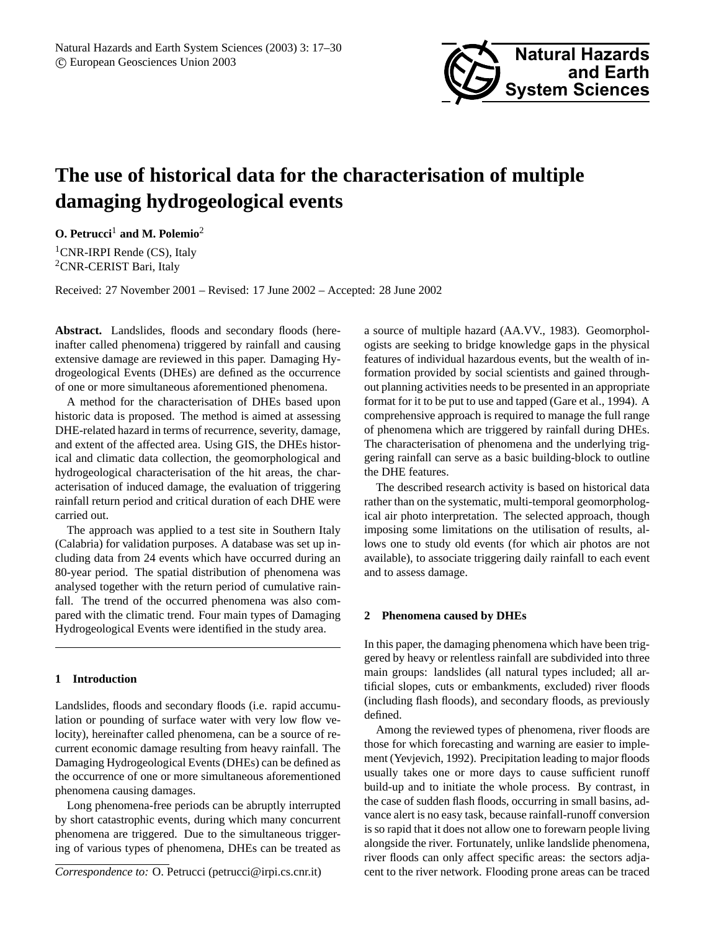

# **The use of historical data for the characterisation of multiple damaging hydrogeological events**

**O. Petrucci**<sup>1</sup> **and M. Polemio**<sup>2</sup>

<sup>1</sup>CNR-IRPI Rende (CS), Italy <sup>2</sup>CNR-CERIST Bari, Italy

Received: 27 November 2001 – Revised: 17 June 2002 – Accepted: 28 June 2002

Abstract. Landslides, floods and secondary floods (hereinafter called phenomena) triggered by rainfall and causing extensive damage are reviewed in this paper. Damaging Hydrogeological Events (DHEs) are defined as the occurrence of one or more simultaneous aforementioned phenomena.

A method for the characterisation of DHEs based upon historic data is proposed. The method is aimed at assessing DHE-related hazard in terms of recurrence, severity, damage, and extent of the affected area. Using GIS, the DHEs historical and climatic data collection, the geomorphological and hydrogeological characterisation of the hit areas, the characterisation of induced damage, the evaluation of triggering rainfall return period and critical duration of each DHE were carried out.

The approach was applied to a test site in Southern Italy (Calabria) for validation purposes. A database was set up including data from 24 events which have occurred during an 80-year period. The spatial distribution of phenomena was analysed together with the return period of cumulative rainfall. The trend of the occurred phenomena was also compared with the climatic trend. Four main types of Damaging Hydrogeological Events were identified in the study area.

## **1 Introduction**

Landslides, floods and secondary floods (i.e. rapid accumulation or pounding of surface water with very low flow velocity), hereinafter called phenomena, can be a source of recurrent economic damage resulting from heavy rainfall. The Damaging Hydrogeological Events (DHEs) can be defined as the occurrence of one or more simultaneous aforementioned phenomena causing damages.

Long phenomena-free periods can be abruptly interrupted by short catastrophic events, during which many concurrent phenomena are triggered. Due to the simultaneous triggering of various types of phenomena, DHEs can be treated as a source of multiple hazard (AA.VV., 1983). Geomorphologists are seeking to bridge knowledge gaps in the physical features of individual hazardous events, but the wealth of information provided by social scientists and gained throughout planning activities needs to be presented in an appropriate format for it to be put to use and tapped (Gare et al., 1994). A comprehensive approach is required to manage the full range of phenomena which are triggered by rainfall during DHEs. The characterisation of phenomena and the underlying triggering rainfall can serve as a basic building-block to outline the DHE features.

The described research activity is based on historical data rather than on the systematic, multi-temporal geomorphological air photo interpretation. The selected approach, though imposing some limitations on the utilisation of results, allows one to study old events (for which air photos are not available), to associate triggering daily rainfall to each event and to assess damage.

#### **2 Phenomena caused by DHEs**

In this paper, the damaging phenomena which have been triggered by heavy or relentless rainfall are subdivided into three main groups: landslides (all natural types included; all artificial slopes, cuts or embankments, excluded) river floods (including flash floods), and secondary floods, as previously defined.

Among the reviewed types of phenomena, river floods are those for which forecasting and warning are easier to implement (Yevjevich, 1992). Precipitation leading to major floods usually takes one or more days to cause sufficient runoff build-up and to initiate the whole process. By contrast, in the case of sudden flash floods, occurring in small basins, advance alert is no easy task, because rainfall-runoff conversion is so rapid that it does not allow one to forewarn people living alongside the river. Fortunately, unlike landslide phenomena, river floods can only affect specific areas: the sectors adjacent to the river network. Flooding prone areas can be traced

*Correspondence to:* O. Petrucci (petrucci@irpi.cs.cnr.it)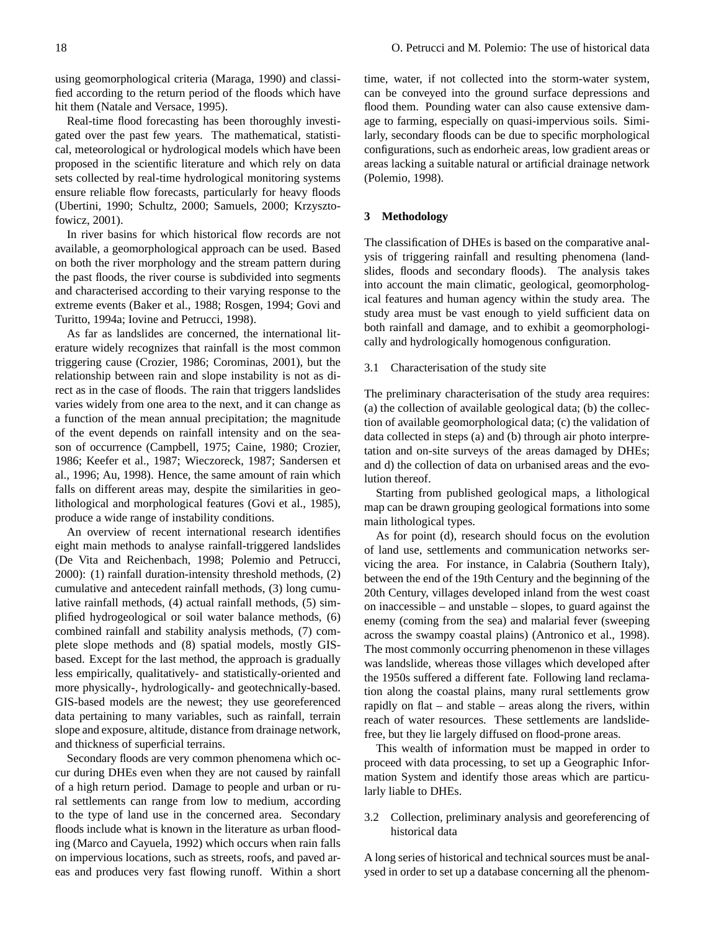using geomorphological criteria (Maraga, 1990) and classified according to the return period of the floods which have hit them (Natale and Versace, 1995).

Real-time flood forecasting has been thoroughly investigated over the past few years. The mathematical, statistical, meteorological or hydrological models which have been proposed in the scientific literature and which rely on data sets collected by real-time hydrological monitoring systems ensure reliable flow forecasts, particularly for heavy floods (Ubertini, 1990; Schultz, 2000; Samuels, 2000; Krzysztofowicz, 2001).

In river basins for which historical flow records are not available, a geomorphological approach can be used. Based on both the river morphology and the stream pattern during the past floods, the river course is subdivided into segments and characterised according to their varying response to the extreme events (Baker et al., 1988; Rosgen, 1994; Govi and Turitto, 1994a; Iovine and Petrucci, 1998).

As far as landslides are concerned, the international literature widely recognizes that rainfall is the most common triggering cause (Crozier, 1986; Corominas, 2001), but the relationship between rain and slope instability is not as direct as in the case of floods. The rain that triggers landslides varies widely from one area to the next, and it can change as a function of the mean annual precipitation; the magnitude of the event depends on rainfall intensity and on the season of occurrence (Campbell, 1975; Caine, 1980; Crozier, 1986; Keefer et al., 1987; Wieczoreck, 1987; Sandersen et al., 1996; Au, 1998). Hence, the same amount of rain which falls on different areas may, despite the similarities in geolithological and morphological features (Govi et al., 1985), produce a wide range of instability conditions.

An overview of recent international research identifies eight main methods to analyse rainfall-triggered landslides (De Vita and Reichenbach, 1998; Polemio and Petrucci, 2000): (1) rainfall duration-intensity threshold methods, (2) cumulative and antecedent rainfall methods, (3) long cumulative rainfall methods, (4) actual rainfall methods, (5) simplified hydrogeological or soil water balance methods, (6) combined rainfall and stability analysis methods, (7) complete slope methods and (8) spatial models, mostly GISbased. Except for the last method, the approach is gradually less empirically, qualitatively- and statistically-oriented and more physically-, hydrologically- and geotechnically-based. GIS-based models are the newest; they use georeferenced data pertaining to many variables, such as rainfall, terrain slope and exposure, altitude, distance from drainage network, and thickness of superficial terrains.

Secondary floods are very common phenomena which occur during DHEs even when they are not caused by rainfall of a high return period. Damage to people and urban or rural settlements can range from low to medium, according to the type of land use in the concerned area. Secondary floods include what is known in the literature as urban flooding (Marco and Cayuela, 1992) which occurs when rain falls on impervious locations, such as streets, roofs, and paved areas and produces very fast flowing runoff. Within a short time, water, if not collected into the storm-water system, can be conveyed into the ground surface depressions and flood them. Pounding water can also cause extensive damage to farming, especially on quasi-impervious soils. Similarly, secondary floods can be due to specific morphological configurations, such as endorheic areas, low gradient areas or areas lacking a suitable natural or artificial drainage network (Polemio, 1998).

#### **3 Methodology**

The classification of DHEs is based on the comparative analysis of triggering rainfall and resulting phenomena (landslides, floods and secondary floods). The analysis takes into account the main climatic, geological, geomorphological features and human agency within the study area. The study area must be vast enough to yield sufficient data on both rainfall and damage, and to exhibit a geomorphologically and hydrologically homogenous configuration.

#### 3.1 Characterisation of the study site

The preliminary characterisation of the study area requires: (a) the collection of available geological data; (b) the collection of available geomorphological data; (c) the validation of data collected in steps (a) and (b) through air photo interpretation and on-site surveys of the areas damaged by DHEs; and d) the collection of data on urbanised areas and the evolution thereof.

Starting from published geological maps, a lithological map can be drawn grouping geological formations into some main lithological types.

As for point (d), research should focus on the evolution of land use, settlements and communication networks servicing the area. For instance, in Calabria (Southern Italy), between the end of the 19th Century and the beginning of the 20th Century, villages developed inland from the west coast on inaccessible – and unstable – slopes, to guard against the enemy (coming from the sea) and malarial fever (sweeping across the swampy coastal plains) (Antronico et al., 1998). The most commonly occurring phenomenon in these villages was landslide, whereas those villages which developed after the 1950s suffered a different fate. Following land reclamation along the coastal plains, many rural settlements grow rapidly on flat – and stable – areas along the rivers, within reach of water resources. These settlements are landslidefree, but they lie largely diffused on flood-prone areas.

This wealth of information must be mapped in order to proceed with data processing, to set up a Geographic Information System and identify those areas which are particularly liable to DHEs.

3.2 Collection, preliminary analysis and georeferencing of historical data

A long series of historical and technical sources must be analysed in order to set up a database concerning all the phenom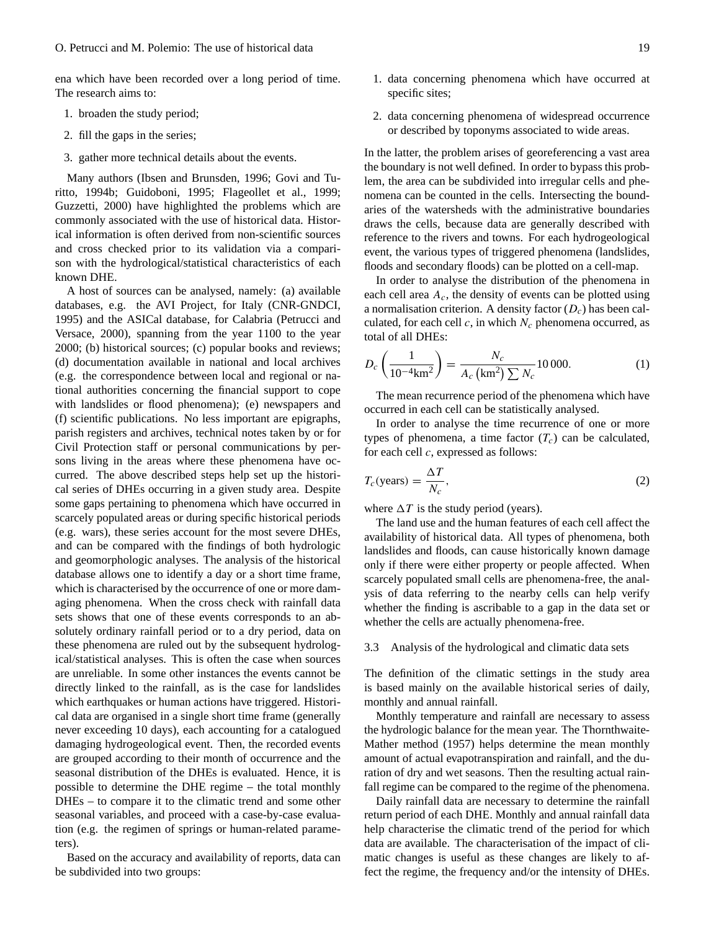ena which have been recorded over a long period of time. The research aims to:

- 1. broaden the study period;
- 2. fill the gaps in the series;
- 3. gather more technical details about the events.

Many authors (Ibsen and Brunsden, 1996; Govi and Turitto, 1994b; Guidoboni, 1995; Flageollet et al., 1999; Guzzetti, 2000) have highlighted the problems which are commonly associated with the use of historical data. Historical information is often derived from non-scientific sources and cross checked prior to its validation via a comparison with the hydrological/statistical characteristics of each known DHE.

A host of sources can be analysed, namely: (a) available databases, e.g. the AVI Project, for Italy (CNR-GNDCI, 1995) and the ASICal database, for Calabria (Petrucci and Versace, 2000), spanning from the year 1100 to the year 2000; (b) historical sources; (c) popular books and reviews; (d) documentation available in national and local archives (e.g. the correspondence between local and regional or national authorities concerning the financial support to cope with landslides or flood phenomena); (e) newspapers and (f) scientific publications. No less important are epigraphs, parish registers and archives, technical notes taken by or for Civil Protection staff or personal communications by persons living in the areas where these phenomena have occurred. The above described steps help set up the historical series of DHEs occurring in a given study area. Despite some gaps pertaining to phenomena which have occurred in scarcely populated areas or during specific historical periods (e.g. wars), these series account for the most severe DHEs, and can be compared with the findings of both hydrologic and geomorphologic analyses. The analysis of the historical database allows one to identify a day or a short time frame, which is characterised by the occurrence of one or more damaging phenomena. When the cross check with rainfall data sets shows that one of these events corresponds to an absolutely ordinary rainfall period or to a dry period, data on these phenomena are ruled out by the subsequent hydrological/statistical analyses. This is often the case when sources are unreliable. In some other instances the events cannot be directly linked to the rainfall, as is the case for landslides which earthquakes or human actions have triggered. Historical data are organised in a single short time frame (generally never exceeding 10 days), each accounting for a catalogued damaging hydrogeological event. Then, the recorded events are grouped according to their month of occurrence and the seasonal distribution of the DHEs is evaluated. Hence, it is possible to determine the DHE regime – the total monthly DHEs – to compare it to the climatic trend and some other seasonal variables, and proceed with a case-by-case evaluation (e.g. the regimen of springs or human-related parameters).

Based on the accuracy and availability of reports, data can be subdivided into two groups:

- 1. data concerning phenomena which have occurred at specific sites;
- 2. data concerning phenomena of widespread occurrence or described by toponyms associated to wide areas.

In the latter, the problem arises of georeferencing a vast area the boundary is not well defined. In order to bypass this problem, the area can be subdivided into irregular cells and phenomena can be counted in the cells. Intersecting the boundaries of the watersheds with the administrative boundaries draws the cells, because data are generally described with reference to the rivers and towns. For each hydrogeological event, the various types of triggered phenomena (landslides, floods and secondary floods) can be plotted on a cell-map.

In order to analyse the distribution of the phenomena in each cell area  $A_c$ , the density of events can be plotted using a normalisation criterion. A density factor  $(D<sub>c</sub>)$  has been calculated, for each cell  $c$ , in which  $N_c$  phenomena occurred, as total of all DHEs:

$$
D_c \left( \frac{1}{10^{-4} \text{km}^2} \right) = \frac{N_c}{A_c \left( \text{km}^2 \right) \sum N_c} 10\,000. \tag{1}
$$

The mean recurrence period of the phenomena which have occurred in each cell can be statistically analysed.

In order to analyse the time recurrence of one or more types of phenomena, a time factor  $(T_c)$  can be calculated, for each cell  $c$ , expressed as follows:

$$
T_c(\text{years}) = \frac{\Delta T}{N_c},\tag{2}
$$

where  $\Delta T$  is the study period (years).

The land use and the human features of each cell affect the availability of historical data. All types of phenomena, both landslides and floods, can cause historically known damage only if there were either property or people affected. When scarcely populated small cells are phenomena-free, the analysis of data referring to the nearby cells can help verify whether the finding is ascribable to a gap in the data set or whether the cells are actually phenomena-free.

### 3.3 Analysis of the hydrological and climatic data sets

The definition of the climatic settings in the study area is based mainly on the available historical series of daily, monthly and annual rainfall.

Monthly temperature and rainfall are necessary to assess the hydrologic balance for the mean year. The Thornthwaite-Mather method (1957) helps determine the mean monthly amount of actual evapotranspiration and rainfall, and the duration of dry and wet seasons. Then the resulting actual rainfall regime can be compared to the regime of the phenomena.

Daily rainfall data are necessary to determine the rainfall return period of each DHE. Monthly and annual rainfall data help characterise the climatic trend of the period for which data are available. The characterisation of the impact of climatic changes is useful as these changes are likely to affect the regime, the frequency and/or the intensity of DHEs.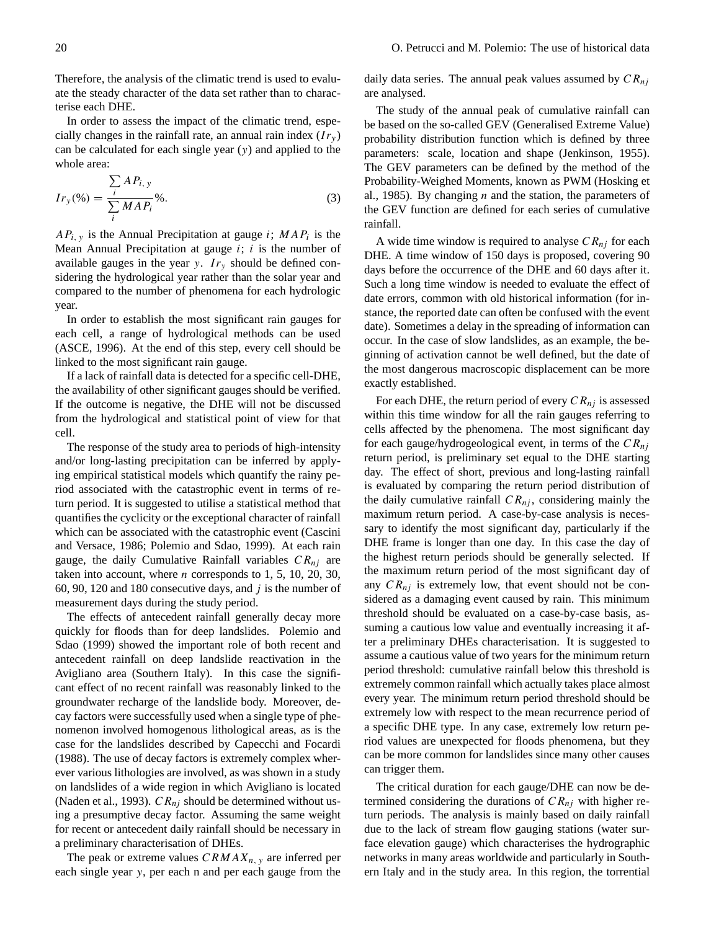Therefore, the analysis of the climatic trend is used to evaluate the steady character of the data set rather than to characterise each DHE.

In order to assess the impact of the climatic trend, especially changes in the rainfall rate, an annual rain index  $(I_{r_v})$ can be calculated for each single year (y) and applied to the whole area:

$$
Ir_{y}(\% ) = \frac{\sum_{i} AP_{i, y}}{\sum_{i} MAP_{i}}\%.
$$
 (3)

 $AP_{i, y}$  is the Annual Precipitation at gauge *i*;  $MAP_i$  is the Mean Annual Precipitation at gauge  $i$ ;  $i$  is the number of available gauges in the year y.  $Ir<sub>v</sub>$  should be defined considering the hydrological year rather than the solar year and compared to the number of phenomena for each hydrologic year.

In order to establish the most significant rain gauges for each cell, a range of hydrological methods can be used (ASCE, 1996). At the end of this step, every cell should be linked to the most significant rain gauge.

If a lack of rainfall data is detected for a specific cell-DHE, the availability of other significant gauges should be verified. If the outcome is negative, the DHE will not be discussed from the hydrological and statistical point of view for that cell.

The response of the study area to periods of high-intensity and/or long-lasting precipitation can be inferred by applying empirical statistical models which quantify the rainy period associated with the catastrophic event in terms of return period. It is suggested to utilise a statistical method that quantifies the cyclicity or the exceptional character of rainfall which can be associated with the catastrophic event (Cascini and Versace, 1986; Polemio and Sdao, 1999). At each rain gauge, the daily Cumulative Rainfall variables  $CR_{ni}$  are taken into account, where  $n$  corresponds to 1, 5, 10, 20, 30, 60, 90, 120 and 180 consecutive days, and  $j$  is the number of measurement days during the study period.

The effects of antecedent rainfall generally decay more quickly for floods than for deep landslides. Polemio and Sdao (1999) showed the important role of both recent and antecedent rainfall on deep landslide reactivation in the Avigliano area (Southern Italy). In this case the significant effect of no recent rainfall was reasonably linked to the groundwater recharge of the landslide body. Moreover, decay factors were successfully used when a single type of phenomenon involved homogenous lithological areas, as is the case for the landslides described by Capecchi and Focardi (1988). The use of decay factors is extremely complex wherever various lithologies are involved, as was shown in a study on landslides of a wide region in which Avigliano is located (Naden et al., 1993).  $CR_{nj}$  should be determined without using a presumptive decay factor. Assuming the same weight for recent or antecedent daily rainfall should be necessary in a preliminary characterisation of DHEs.

The peak or extreme values  $CRMAX_{n, v}$  are inferred per each single year y, per each n and per each gauge from the

daily data series. The annual peak values assumed by  $CR_{nj}$ are analysed.

The study of the annual peak of cumulative rainfall can be based on the so-called GEV (Generalised Extreme Value) probability distribution function which is defined by three parameters: scale, location and shape (Jenkinson, 1955). The GEV parameters can be defined by the method of the Probability-Weighed Moments, known as PWM (Hosking et al., 1985). By changing  $n$  and the station, the parameters of the GEV function are defined for each series of cumulative rainfall.

A wide time window is required to analyse  $CR_{ni}$  for each DHE. A time window of 150 days is proposed, covering 90 days before the occurrence of the DHE and 60 days after it. Such a long time window is needed to evaluate the effect of date errors, common with old historical information (for instance, the reported date can often be confused with the event date). Sometimes a delay in the spreading of information can occur. In the case of slow landslides, as an example, the beginning of activation cannot be well defined, but the date of the most dangerous macroscopic displacement can be more exactly established.

For each DHE, the return period of every  $CR_{ni}$  is assessed within this time window for all the rain gauges referring to cells affected by the phenomena. The most significant day for each gauge/hydrogeological event, in terms of the  $CR_{nj}$ return period, is preliminary set equal to the DHE starting day. The effect of short, previous and long-lasting rainfall is evaluated by comparing the return period distribution of the daily cumulative rainfall  $CR_{nj}$ , considering mainly the maximum return period. A case-by-case analysis is necessary to identify the most significant day, particularly if the DHE frame is longer than one day. In this case the day of the highest return periods should be generally selected. If the maximum return period of the most significant day of any  $CR_{ni}$  is extremely low, that event should not be considered as a damaging event caused by rain. This minimum threshold should be evaluated on a case-by-case basis, assuming a cautious low value and eventually increasing it after a preliminary DHEs characterisation. It is suggested to assume a cautious value of two years for the minimum return period threshold: cumulative rainfall below this threshold is extremely common rainfall which actually takes place almost every year. The minimum return period threshold should be extremely low with respect to the mean recurrence period of a specific DHE type. In any case, extremely low return period values are unexpected for floods phenomena, but they can be more common for landslides since many other causes can trigger them.

The critical duration for each gauge/DHE can now be determined considering the durations of  $CR_{nj}$  with higher return periods. The analysis is mainly based on daily rainfall due to the lack of stream flow gauging stations (water surface elevation gauge) which characterises the hydrographic networks in many areas worldwide and particularly in Southern Italy and in the study area. In this region, the torrential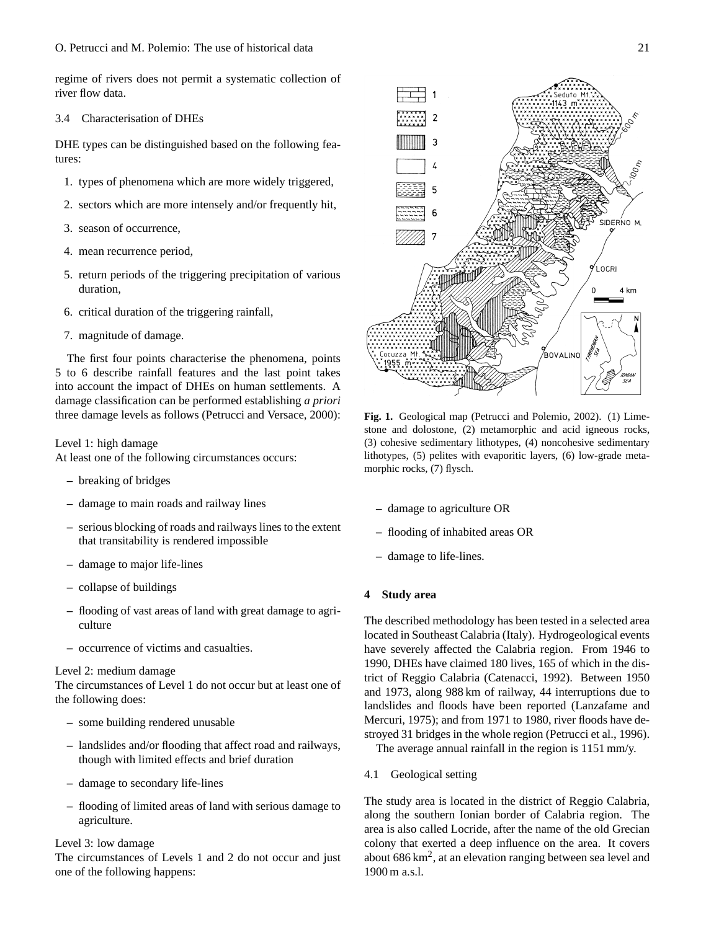regime of rivers does not permit a systematic collection of river flow data.

#### 3.4 Characterisation of DHEs

DHE types can be distinguished based on the following features:

- 1. types of phenomena which are more widely triggered,
- 2. sectors which are more intensely and/or frequently hit,
- 3. season of occurrence,
- 4. mean recurrence period,
- 5. return periods of the triggering precipitation of various duration,
- 6. critical duration of the triggering rainfall,
- 7. magnitude of damage.

The first four points characterise the phenomena, points 5 to 6 describe rainfall features and the last point takes into account the impact of DHEs on human settlements. A damage classification can be performed establishing *a priori* three damage levels as follows (Petrucci and Versace, 2000):

## Level 1: high damage

At least one of the following circumstances occurs:

- **–** breaking of bridges
- **–** damage to main roads and railway lines
- **–** serious blocking of roads and railways lines to the extent that transitability is rendered impossible
- **–** damage to major life-lines
- **–** collapse of buildings
- **–** flooding of vast areas of land with great damage to agriculture
- **–** occurrence of victims and casualties.

### Level 2: medium damage

The circumstances of Level 1 do not occur but at least one of the following does:

- **–** some building rendered unusable
- **–** landslides and/or flooding that affect road and railways, though with limited effects and brief duration
- **–** damage to secondary life-lines
- **–** flooding of limited areas of land with serious damage to agriculture.

## Level 3: low damage

The circumstances of Levels 1 and 2 do not occur and just one of the following happens:





**Fig. 1.** Geological map (Petrucci and Polemio, 2002). (1) Limestone and dolostone, (2) metamorphic and acid igneous rocks, (3) cohesive sedimentary lithotypes, (4) noncohesive sedimentary lithotypes, (5) pelites with evaporitic layers, (6) low-grade metamorphic rocks, (7) flysch.

- **–** damage to agriculture OR
- **–** flooding of inhabited areas OR
- **–** damage to life-lines.

## **4 Study area**

The described methodology has been tested in a selected area located in Southeast Calabria (Italy). Hydrogeological events have severely affected the Calabria region. From 1946 to 1990, DHEs have claimed 180 lives, 165 of which in the district of Reggio Calabria (Catenacci, 1992). Between 1950 and 1973, along 988 km of railway, 44 interruptions due to landslides and floods have been reported (Lanzafame and Mercuri, 1975); and from 1971 to 1980, river floods have destroyed 31 bridges in the whole region (Petrucci et al., 1996).

The average annual rainfall in the region is 1151 mm/y.

4.1 Geological setting

The study area is located in the district of Reggio Calabria, along the southern Ionian border of Calabria region. The area is also called Locride, after the name of the old Grecian colony that exerted a deep influence on the area. It covers about  $686 \text{ km}^2$ , at an elevation ranging between sea level and 1900 m a.s.l.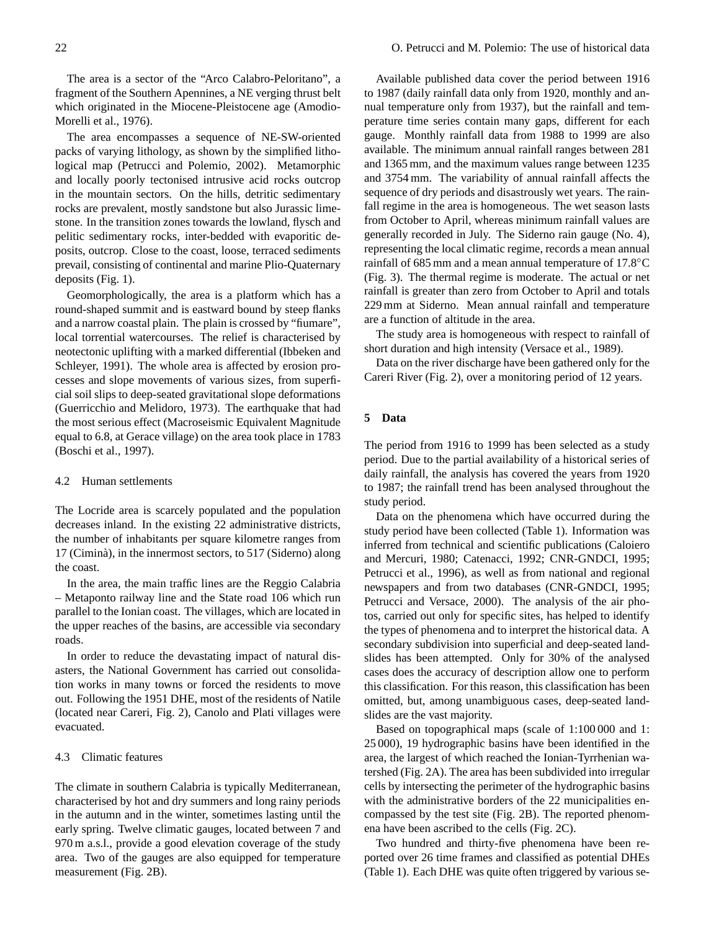The area is a sector of the "Arco Calabro-Peloritano", a fragment of the Southern Apennines, a NE verging thrust belt which originated in the Miocene-Pleistocene age (Amodio-Morelli et al., 1976).

The area encompasses a sequence of NE-SW-oriented packs of varying lithology, as shown by the simplified lithological map (Petrucci and Polemio, 2002). Metamorphic and locally poorly tectonised intrusive acid rocks outcrop in the mountain sectors. On the hills, detritic sedimentary rocks are prevalent, mostly sandstone but also Jurassic limestone. In the transition zones towards the lowland, flysch and pelitic sedimentary rocks, inter-bedded with evaporitic deposits, outcrop. Close to the coast, loose, terraced sediments prevail, consisting of continental and marine Plio-Quaternary deposits (Fig. 1).

Geomorphologically, the area is a platform which has a round-shaped summit and is eastward bound by steep flanks and a narrow coastal plain. The plain is crossed by "fiumare", local torrential watercourses. The relief is characterised by neotectonic uplifting with a marked differential (Ibbeken and Schleyer, 1991). The whole area is affected by erosion processes and slope movements of various sizes, from superficial soil slips to deep-seated gravitational slope deformations (Guerricchio and Melidoro, 1973). The earthquake that had the most serious effect (Macroseismic Equivalent Magnitude equal to 6.8, at Gerace village) on the area took place in 1783 (Boschi et al., 1997).

## 4.2 Human settlements

The Locride area is scarcely populated and the population decreases inland. In the existing 22 administrative districts, the number of inhabitants per square kilometre ranges from 17 (Cimina), in the innermost sectors, to 517 (Siderno) along ` the coast.

In the area, the main traffic lines are the Reggio Calabria – Metaponto railway line and the State road 106 which run parallel to the Ionian coast. The villages, which are located in the upper reaches of the basins, are accessible via secondary roads.

In order to reduce the devastating impact of natural disasters, the National Government has carried out consolidation works in many towns or forced the residents to move out. Following the 1951 DHE, most of the residents of Natile (located near Careri, Fig. 2), Canolo and Plati villages were evacuated.

## 4.3 Climatic features

The climate in southern Calabria is typically Mediterranean, characterised by hot and dry summers and long rainy periods in the autumn and in the winter, sometimes lasting until the early spring. Twelve climatic gauges, located between 7 and 970 m a.s.l., provide a good elevation coverage of the study area. Two of the gauges are also equipped for temperature measurement (Fig. 2B).

Available published data cover the period between 1916 to 1987 (daily rainfall data only from 1920, monthly and annual temperature only from 1937), but the rainfall and temperature time series contain many gaps, different for each gauge. Monthly rainfall data from 1988 to 1999 are also available. The minimum annual rainfall ranges between 281 and 1365 mm, and the maximum values range between 1235 and 3754 mm. The variability of annual rainfall affects the sequence of dry periods and disastrously wet years. The rainfall regime in the area is homogeneous. The wet season lasts from October to April, whereas minimum rainfall values are generally recorded in July. The Siderno rain gauge (No. 4), representing the local climatic regime, records a mean annual rainfall of 685 mm and a mean annual temperature of 17.8◦C (Fig. 3). The thermal regime is moderate. The actual or net rainfall is greater than zero from October to April and totals 229 mm at Siderno. Mean annual rainfall and temperature are a function of altitude in the area.

The study area is homogeneous with respect to rainfall of short duration and high intensity (Versace et al., 1989).

Data on the river discharge have been gathered only for the Careri River (Fig. 2), over a monitoring period of 12 years.

## **5 Data**

The period from 1916 to 1999 has been selected as a study period. Due to the partial availability of a historical series of daily rainfall, the analysis has covered the years from 1920 to 1987; the rainfall trend has been analysed throughout the study period.

Data on the phenomena which have occurred during the study period have been collected (Table 1). Information was inferred from technical and scientific publications (Caloiero and Mercuri, 1980; Catenacci, 1992; CNR-GNDCI, 1995; Petrucci et al., 1996), as well as from national and regional newspapers and from two databases (CNR-GNDCI, 1995; Petrucci and Versace, 2000). The analysis of the air photos, carried out only for specific sites, has helped to identify the types of phenomena and to interpret the historical data. A secondary subdivision into superficial and deep-seated landslides has been attempted. Only for 30% of the analysed cases does the accuracy of description allow one to perform this classification. For this reason, this classification has been omitted, but, among unambiguous cases, deep-seated landslides are the vast majority.

Based on topographical maps (scale of 1:100 000 and 1: 25 000), 19 hydrographic basins have been identified in the area, the largest of which reached the Ionian-Tyrrhenian watershed (Fig. 2A). The area has been subdivided into irregular cells by intersecting the perimeter of the hydrographic basins with the administrative borders of the 22 municipalities encompassed by the test site (Fig. 2B). The reported phenomena have been ascribed to the cells (Fig. 2C).

Two hundred and thirty-five phenomena have been reported over 26 time frames and classified as potential DHEs (Table 1). Each DHE was quite often triggered by various se-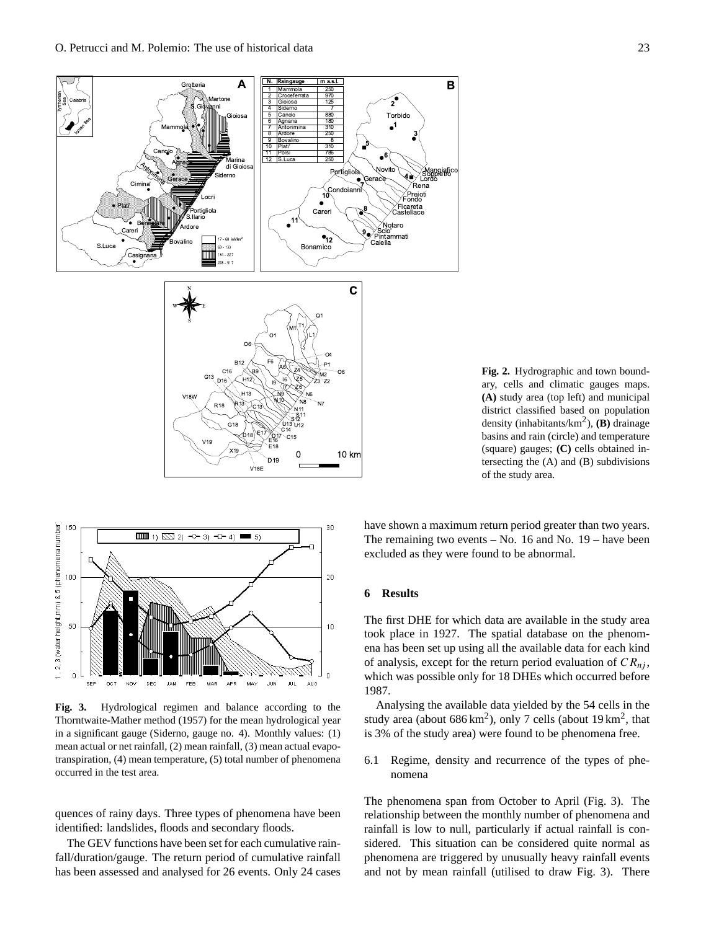

**Fig. 2.** Hydrographic and town boundary, cells and climatic gauges maps. **(A)** study area (top left) and municipal district classified based on population density (inhabitants/km<sup>2</sup> ), **(B)** drainage basins and rain (circle) and temperature (square) gauges; **(C)** cells obtained intersecting the (A) and (B) subdivisions of the study area.



**Fig. 3.** Hydrological regimen and balance according to the Thorntwaite-Mather method (1957) for the mean hydrological year in a significant gauge (Siderno, gauge no. 4). Monthly values: (1) mean actual or net rainfall, (2) mean rainfall, (3) mean actual evapotranspiration, (4) mean temperature, (5) total number of phenomena occurred in the test area.

quences of rainy days. Three types of phenomena have been identified: landslides, floods and secondary floods.

The GEV functions have been set for each cumulative rainfall/duration/gauge. The return period of cumulative rainfall has been assessed and analysed for 26 events. Only 24 cases have shown a maximum return period greater than two years. The remaining two events – No. 16 and No. 19 – have been excluded as they were found to be abnormal.

# **6 Results**

The first DHE for which data are available in the study area took place in 1927. The spatial database on the phenomena has been set up using all the available data for each kind of analysis, except for the return period evaluation of  $CR_{ni}$ , which was possible only for 18 DHEs which occurred before 1987.

Analysing the available data yielded by the 54 cells in the study area (about  $686 \text{ km}^2$ ), only 7 cells (about 19 km<sup>2</sup>, that is 3% of the study area) were found to be phenomena free.

6.1 Regime, density and recurrence of the types of phenomena

The phenomena span from October to April (Fig. 3). The relationship between the monthly number of phenomena and rainfall is low to null, particularly if actual rainfall is considered. This situation can be considered quite normal as phenomena are triggered by unusually heavy rainfall events and not by mean rainfall (utilised to draw Fig. 3). There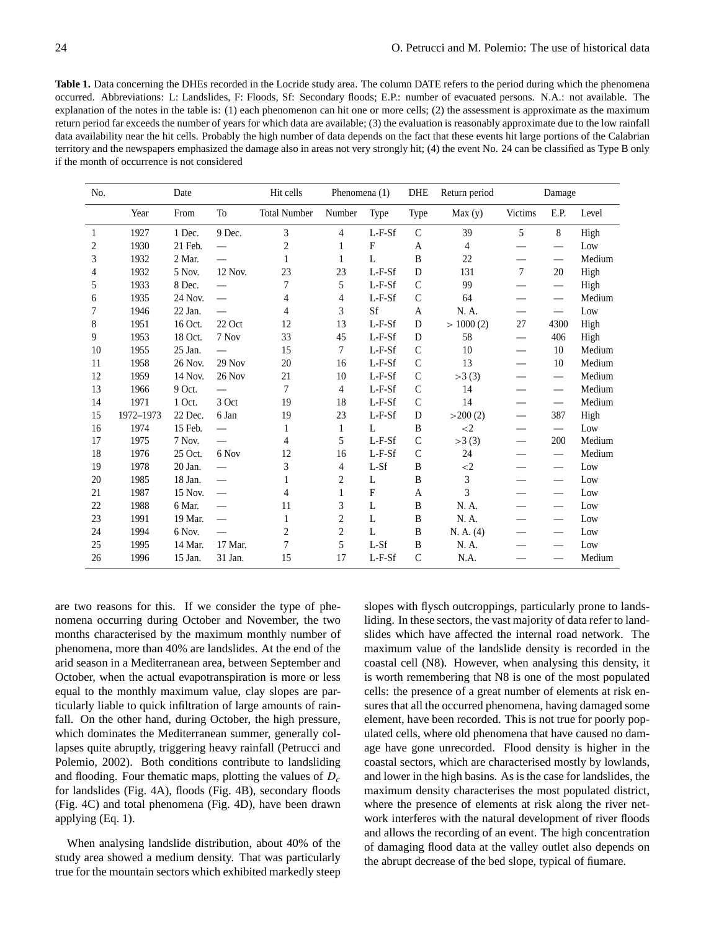**Table 1.** Data concerning the DHEs recorded in the Locride study area. The column DATE refers to the period during which the phenomena occurred. Abbreviations: L: Landslides, F: Floods, Sf: Secondary floods; E.P.: number of evacuated persons. N.A.: not available. The explanation of the notes in the table is: (1) each phenomenon can hit one or more cells; (2) the assessment is approximate as the maximum return period far exceeds the number of years for which data are available; (3) the evaluation is reasonably approximate due to the low rainfall data availability near the hit cells. Probably the high number of data depends on the fact that these events hit large portions of the Calabrian territory and the newspapers emphasized the damage also in areas not very strongly hit; (4) the event No. 24 can be classified as Type B only if the month of occurrence is not considered

| No. | Date      |         | Hit cells                | Phenomena (1)       |                         | <b>DHE</b>     | Return period | Damage    |                          |                                 |        |
|-----|-----------|---------|--------------------------|---------------------|-------------------------|----------------|---------------|-----------|--------------------------|---------------------------------|--------|
|     | Year      | From    | To                       | <b>Total Number</b> | Number                  | Type           | Type          | Max(y)    | Victims                  | E.P.                            | Level  |
| 1   | 1927      | 1 Dec.  | 9 Dec.                   | 3                   | 4                       | $L-F-Sf$       | $\mathcal{C}$ | 39        | 5                        | 8                               | High   |
| 2   | 1930      | 21 Feb. |                          | $\overline{c}$      | 1                       | F              | A             | 4         |                          | $\overline{\phantom{m}}$        | Low    |
| 3   | 1932      | 2 Mar.  |                          | 1                   | 1                       | L              | B             | 22        |                          |                                 | Medium |
| 4   | 1932      | 5 Nov.  | 12 Nov.                  | 23                  | 23                      | $L-F-Sf$       | D             | 131       | 7                        | 20                              | High   |
| 5   | 1933      | 8 Dec.  |                          | $\overline{7}$      | 5                       | $L-F-Sf$       | $\mathcal{C}$ | 99        |                          | $\overline{\phantom{m}}$        | High   |
| 6   | 1935      | 24 Nov. |                          | 4                   | 4                       | L-F-Sf         | $\mathcal{C}$ | 64        |                          | $\hspace{0.05cm}$               | Medium |
| 7   | 1946      | 22 Jan. |                          | 4                   | 3                       | Sf             | A             | N. A.     |                          | $\overline{\phantom{m}}$        | Low    |
| 8   | 1951      | 16 Oct. | $22$ Oct                 | 12                  | 13                      | $L-F-Sf$       | D             | >1000(2)  | 27                       | 4300                            | High   |
| 9   | 1953      | 18 Oct. | 7 Nov                    | 33                  | 45                      | $L-F-Sf$       | D             | 58        | $\overline{\phantom{0}}$ | 406                             | High   |
| 10  | 1955      | 25 Jan. |                          | 15                  | 7                       | $L-F-Sf$       | $\mathcal{C}$ | 10        | $\overline{\phantom{0}}$ | 10                              | Medium |
| 11  | 1958      | 26 Nov. | 29 Nov                   | 20                  | 16                      | $L-F-Sf$       | $\mathcal{C}$ | 13        |                          | 10                              | Medium |
| 12  | 1959      | 14 Nov. | 26 Nov                   | 21                  | 10                      | $L-F-Sf$       | $\mathcal{C}$ | >3(3)     |                          |                                 | Medium |
| 13  | 1966      | 9 Oct.  | $\overline{\phantom{0}}$ | 7                   | 4                       | $L-F-Sf$       | $\mathcal{C}$ | 14        |                          | $\overline{\phantom{m}}$        | Medium |
| 14  | 1971      | 1 Oct.  | 3 Oct                    | 19                  | 18                      | $L-F-Sf$       | $\mathcal{C}$ | 14        | $\overline{\phantom{0}}$ | $\hspace{0.1mm}-\hspace{0.1mm}$ | Medium |
| 15  | 1972-1973 | 22 Dec. | 6 Jan                    | 19                  | 23                      | $L-F-Sf$       | D             | >200(2)   |                          | 387                             | High   |
| 16  | 1974      | 15 Feb. | $\overline{\phantom{0}}$ | 1                   | 1                       | $\mathbf{L}$   | B             | $\leq$ 2  |                          | $\qquad \qquad$                 | Low    |
| 17  | 1975      | 7 Nov.  | $\overline{\phantom{0}}$ | 4                   | 5                       | $L-F-Sf$       | $\mathcal{C}$ | >3(3)     | $\overline{\phantom{0}}$ | 200                             | Medium |
| 18  | 1976      | 25 Oct. | 6 Nov                    | 12                  | 16                      | $L-F-Sf$       | $\mathcal{C}$ | 24        |                          |                                 | Medium |
| 19  | 1978      | 20 Jan. |                          | 3                   | 4                       | L-Sf           | B             | $<$ 2     |                          | $\hspace{0.1mm}-\hspace{0.1mm}$ | Low    |
| 20  | 1985      | 18 Jan. |                          | 1                   | $\overline{\mathbf{c}}$ | L              | B             | 3         |                          |                                 | Low    |
| 21  | 1987      | 15 Nov. | $\overline{\phantom{0}}$ | 4                   | 1                       | $\overline{F}$ | A             | 3         |                          | $\hspace{0.1mm}-\hspace{0.1mm}$ | Low    |
| 22  | 1988      | 6 Mar.  |                          | 11                  | 3                       | L              | B             | N. A.     |                          |                                 | Low    |
| 23  | 1991      | 19 Mar. |                          | 1                   | 2                       | L              | B             | N. A.     |                          |                                 | Low    |
| 24  | 1994      | 6 Nov.  |                          | $\sqrt{2}$          | $\overline{\mathbf{c}}$ | L              | B             | N. A. (4) |                          |                                 | Low    |
| 25  | 1995      | 14 Mar. | 17 Mar.                  | 7                   | 5                       | $L-Sf$         | B             | N. A.     |                          |                                 | Low    |
| 26  | 1996      | 15 Jan. | 31 Jan.                  | 15                  | 17                      | $L-F-Sf$       | $\mathcal{C}$ | N.A.      |                          |                                 | Medium |

are two reasons for this. If we consider the type of phenomena occurring during October and November, the two months characterised by the maximum monthly number of phenomena, more than 40% are landslides. At the end of the arid season in a Mediterranean area, between September and October, when the actual evapotranspiration is more or less equal to the monthly maximum value, clay slopes are particularly liable to quick infiltration of large amounts of rainfall. On the other hand, during October, the high pressure, which dominates the Mediterranean summer, generally collapses quite abruptly, triggering heavy rainfall (Petrucci and Polemio, 2002). Both conditions contribute to landsliding and flooding. Four thematic maps, plotting the values of  $D_c$ for landslides (Fig. 4A), floods (Fig. 4B), secondary floods (Fig. 4C) and total phenomena (Fig. 4D), have been drawn applying (Eq. 1).

When analysing landslide distribution, about 40% of the study area showed a medium density. That was particularly true for the mountain sectors which exhibited markedly steep

slopes with flysch outcroppings, particularly prone to landsliding. In these sectors, the vast majority of data refer to landslides which have affected the internal road network. The maximum value of the landslide density is recorded in the coastal cell (N8). However, when analysing this density, it is worth remembering that N8 is one of the most populated cells: the presence of a great number of elements at risk ensures that all the occurred phenomena, having damaged some element, have been recorded. This is not true for poorly populated cells, where old phenomena that have caused no damage have gone unrecorded. Flood density is higher in the coastal sectors, which are characterised mostly by lowlands, and lower in the high basins. As is the case for landslides, the maximum density characterises the most populated district, where the presence of elements at risk along the river network interferes with the natural development of river floods and allows the recording of an event. The high concentration of damaging flood data at the valley outlet also depends on the abrupt decrease of the bed slope, typical of fiumare.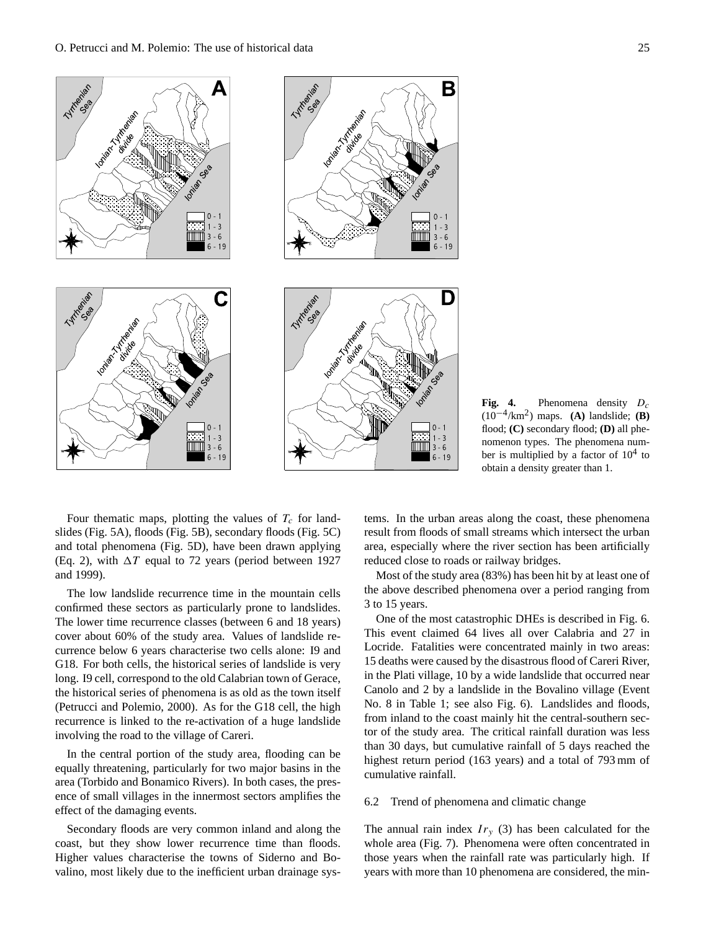

**Fig. 4.** Phenomena density  $D_c$ (10−<sup>4</sup> /km<sup>2</sup> ) maps. **(A)** landslide; **(B)** flood; **(C)** secondary flood; **(D)** all phenomenon types. The phenomena number is multiplied by a factor of  $10^4$  to obtain a density greater than 1.

Four thematic maps, plotting the values of  $T_c$  for landslides (Fig. 5A), floods (Fig. 5B), secondary floods (Fig. 5C) and total phenomena (Fig. 5D), have been drawn applying (Eq. 2), with  $\Delta T$  equal to 72 years (period between 1927 and 1999).

The low landslide recurrence time in the mountain cells confirmed these sectors as particularly prone to landslides. The lower time recurrence classes (between 6 and 18 years) cover about 60% of the study area. Values of landslide recurrence below 6 years characterise two cells alone: I9 and G18. For both cells, the historical series of landslide is very long. I9 cell, correspond to the old Calabrian town of Gerace, the historical series of phenomena is as old as the town itself (Petrucci and Polemio, 2000). As for the G18 cell, the high recurrence is linked to the re-activation of a huge landslide involving the road to the village of Careri.

In the central portion of the study area, flooding can be equally threatening, particularly for two major basins in the area (Torbido and Bonamico Rivers). In both cases, the presence of small villages in the innermost sectors amplifies the effect of the damaging events.

Secondary floods are very common inland and along the coast, but they show lower recurrence time than floods. Higher values characterise the towns of Siderno and Bovalino, most likely due to the inefficient urban drainage systems. In the urban areas along the coast, these phenomena result from floods of small streams which intersect the urban area, especially where the river section has been artificially reduced close to roads or railway bridges.

Most of the study area (83%) has been hit by at least one of the above described phenomena over a period ranging from 3 to 15 years.

One of the most catastrophic DHEs is described in Fig. 6. This event claimed 64 lives all over Calabria and 27 in Locride. Fatalities were concentrated mainly in two areas: 15 deaths were caused by the disastrous flood of Careri River, in the Plati village, 10 by a wide landslide that occurred near Canolo and 2 by a landslide in the Bovalino village (Event No. 8 in Table 1; see also Fig. 6). Landslides and floods, from inland to the coast mainly hit the central-southern sector of the study area. The critical rainfall duration was less than 30 days, but cumulative rainfall of 5 days reached the highest return period (163 years) and a total of 793 mm of cumulative rainfall.

#### 6.2 Trend of phenomena and climatic change

The annual rain index  $Ir<sub>v</sub>$  (3) has been calculated for the whole area (Fig. 7). Phenomena were often concentrated in those years when the rainfall rate was particularly high. If years with more than 10 phenomena are considered, the min-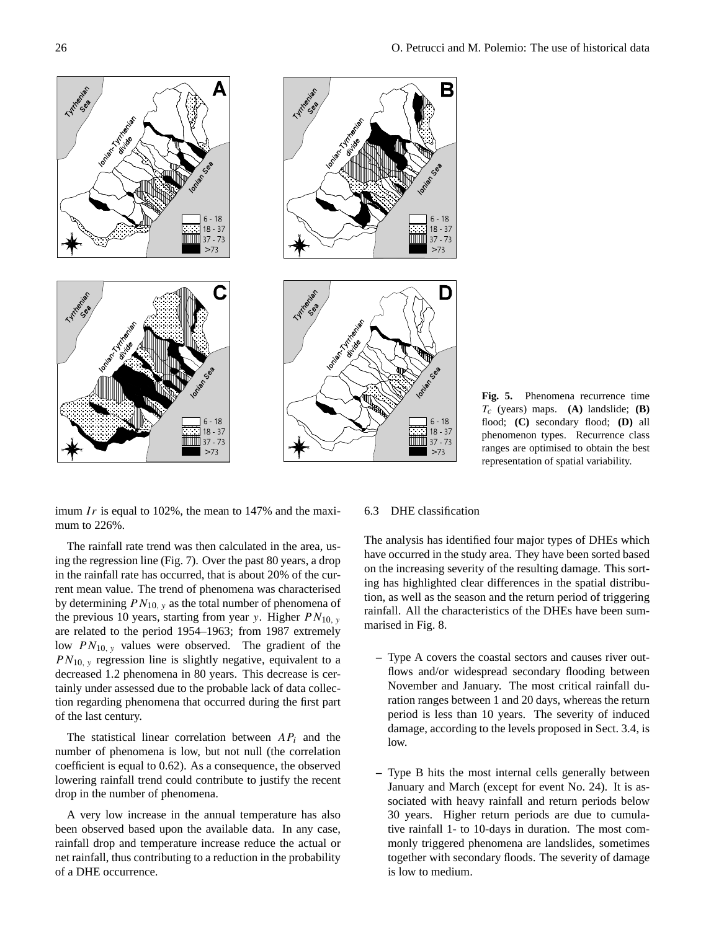

**Fig. 5.** Phenomena recurrence time  $T_c$  (years) maps. **(A)** landslide; **(B)** flood; **(C)** secondary flood; **(D)** all phenomenon types. Recurrence class ranges are optimised to obtain the best representation of spatial variability.

imum  $Ir$  is equal to 102%, the mean to 147% and the maximum to 226%.

The rainfall rate trend was then calculated in the area, using the regression line (Fig. 7). Over the past 80 years, a drop in the rainfall rate has occurred, that is about 20% of the current mean value. The trend of phenomena was characterised by determining  $PN_{10, v}$  as the total number of phenomena of the previous 10 years, starting from year y. Higher  $PN_{10, v}$ are related to the period 1954–1963; from 1987 extremely low  $PN_{10, v}$  values were observed. The gradient of the  $PN_{10, v}$  regression line is slightly negative, equivalent to a decreased 1.2 phenomena in 80 years. This decrease is certainly under assessed due to the probable lack of data collection regarding phenomena that occurred during the first part of the last century.

The statistical linear correlation between  $AP_i$  and the number of phenomena is low, but not null (the correlation coefficient is equal to 0.62). As a consequence, the observed lowering rainfall trend could contribute to justify the recent drop in the number of phenomena.

A very low increase in the annual temperature has also been observed based upon the available data. In any case, rainfall drop and temperature increase reduce the actual or net rainfall, thus contributing to a reduction in the probability of a DHE occurrence.

## 6.3 DHE classification

The analysis has identified four major types of DHEs which have occurred in the study area. They have been sorted based on the increasing severity of the resulting damage. This sorting has highlighted clear differences in the spatial distribution, as well as the season and the return period of triggering rainfall. All the characteristics of the DHEs have been summarised in Fig. 8.

- **–** Type A covers the coastal sectors and causes river outflows and/or widespread secondary flooding between November and January. The most critical rainfall duration ranges between 1 and 20 days, whereas the return period is less than 10 years. The severity of induced damage, according to the levels proposed in Sect. 3.4, is low.
- **–** Type B hits the most internal cells generally between January and March (except for event No. 24). It is associated with heavy rainfall and return periods below 30 years. Higher return periods are due to cumulative rainfall 1- to 10-days in duration. The most commonly triggered phenomena are landslides, sometimes together with secondary floods. The severity of damage is low to medium.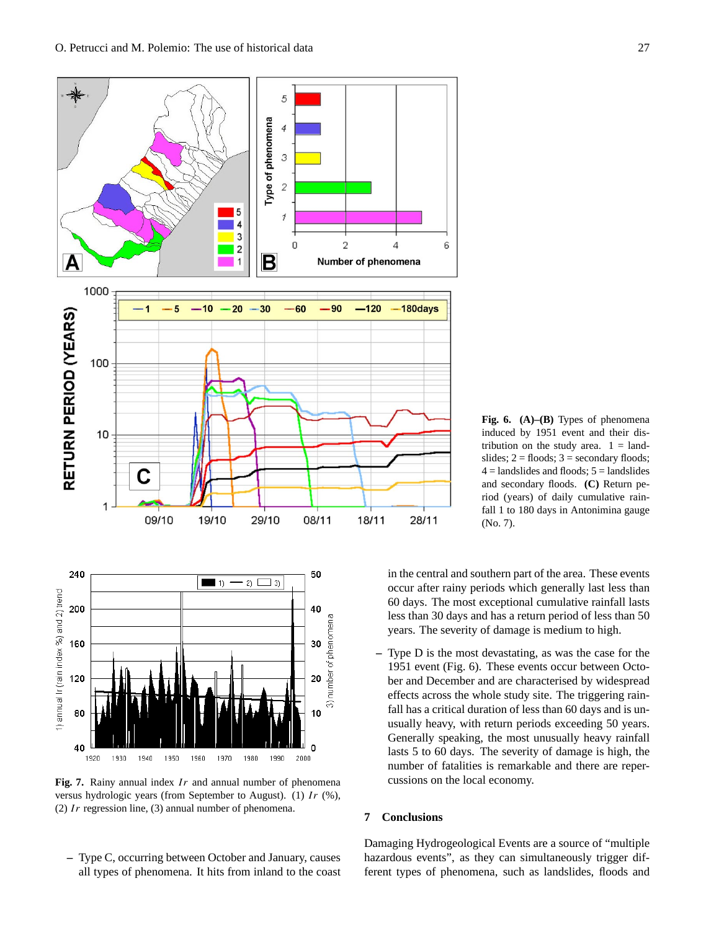



Fig. 7. Rainy annual index Ir and annual number of phenomena versus hydrologic years (from September to August). (1)  $Ir$  (%), (2)  $Ir$  regression line, (3) annual number of phenomena.

**–** Type C, occurring between October and January, causes all types of phenomena. It hits from inland to the coast

**Fig. 6. (A)–(B)** Types of phenomena induced by 1951 event and their distribution on the study area.  $1 =$ landslides;  $2 =$  floods;  $3 =$  secondary floods;  $4 =$ landslides and floods;  $5 =$ landslides and secondary floods. **(C)** Return period (years) of daily cumulative rainfall 1 to 180 days in Antonimina gauge (No. 7).

in the central and southern part of the area. These events occur after rainy periods which generally last less than 60 days. The most exceptional cumulative rainfall lasts less than 30 days and has a return period of less than 50 years. The severity of damage is medium to high.

**–** Type D is the most devastating, as was the case for the 1951 event (Fig. 6). These events occur between October and December and are characterised by widespread effects across the whole study site. The triggering rainfall has a critical duration of less than 60 days and is unusually heavy, with return periods exceeding 50 years. Generally speaking, the most unusually heavy rainfall lasts 5 to 60 days. The severity of damage is high, the number of fatalities is remarkable and there are repercussions on the local economy.

## **7 Conclusions**

Damaging Hydrogeological Events are a source of "multiple hazardous events", as they can simultaneously trigger different types of phenomena, such as landslides, floods and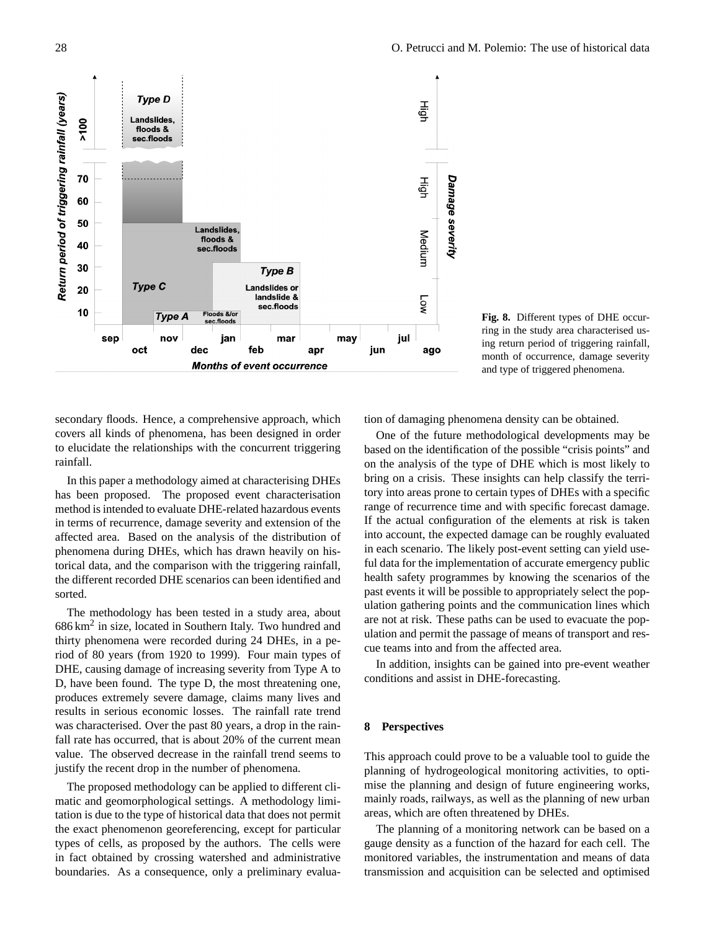

**Fig. 8.** Different types of DHE occurring in the study area characterised using return period of triggering rainfall, month of occurrence, damage severity and type of triggered phenomena.

secondary floods. Hence, a comprehensive approach, which covers all kinds of phenomena, has been designed in order to elucidate the relationships with the concurrent triggering rainfall.

In this paper a methodology aimed at characterising DHEs has been proposed. The proposed event characterisation method is intended to evaluate DHE-related hazardous events in terms of recurrence, damage severity and extension of the affected area. Based on the analysis of the distribution of phenomena during DHEs, which has drawn heavily on historical data, and the comparison with the triggering rainfall, the different recorded DHE scenarios can been identified and sorted.

The methodology has been tested in a study area, about  $686 \text{ km}^2$  in size, located in Southern Italy. Two hundred and thirty phenomena were recorded during 24 DHEs, in a period of 80 years (from 1920 to 1999). Four main types of DHE, causing damage of increasing severity from Type A to D, have been found. The type D, the most threatening one, produces extremely severe damage, claims many lives and results in serious economic losses. The rainfall rate trend was characterised. Over the past 80 years, a drop in the rainfall rate has occurred, that is about 20% of the current mean value. The observed decrease in the rainfall trend seems to justify the recent drop in the number of phenomena.

The proposed methodology can be applied to different climatic and geomorphological settings. A methodology limitation is due to the type of historical data that does not permit the exact phenomenon georeferencing, except for particular types of cells, as proposed by the authors. The cells were in fact obtained by crossing watershed and administrative boundaries. As a consequence, only a preliminary evaluation of damaging phenomena density can be obtained.

One of the future methodological developments may be based on the identification of the possible "crisis points" and on the analysis of the type of DHE which is most likely to bring on a crisis. These insights can help classify the territory into areas prone to certain types of DHEs with a specific range of recurrence time and with specific forecast damage. If the actual configuration of the elements at risk is taken into account, the expected damage can be roughly evaluated in each scenario. The likely post-event setting can yield useful data for the implementation of accurate emergency public health safety programmes by knowing the scenarios of the past events it will be possible to appropriately select the population gathering points and the communication lines which are not at risk. These paths can be used to evacuate the population and permit the passage of means of transport and rescue teams into and from the affected area.

In addition, insights can be gained into pre-event weather conditions and assist in DHE-forecasting.

### **8 Perspectives**

This approach could prove to be a valuable tool to guide the planning of hydrogeological monitoring activities, to optimise the planning and design of future engineering works, mainly roads, railways, as well as the planning of new urban areas, which are often threatened by DHEs.

The planning of a monitoring network can be based on a gauge density as a function of the hazard for each cell. The monitored variables, the instrumentation and means of data transmission and acquisition can be selected and optimised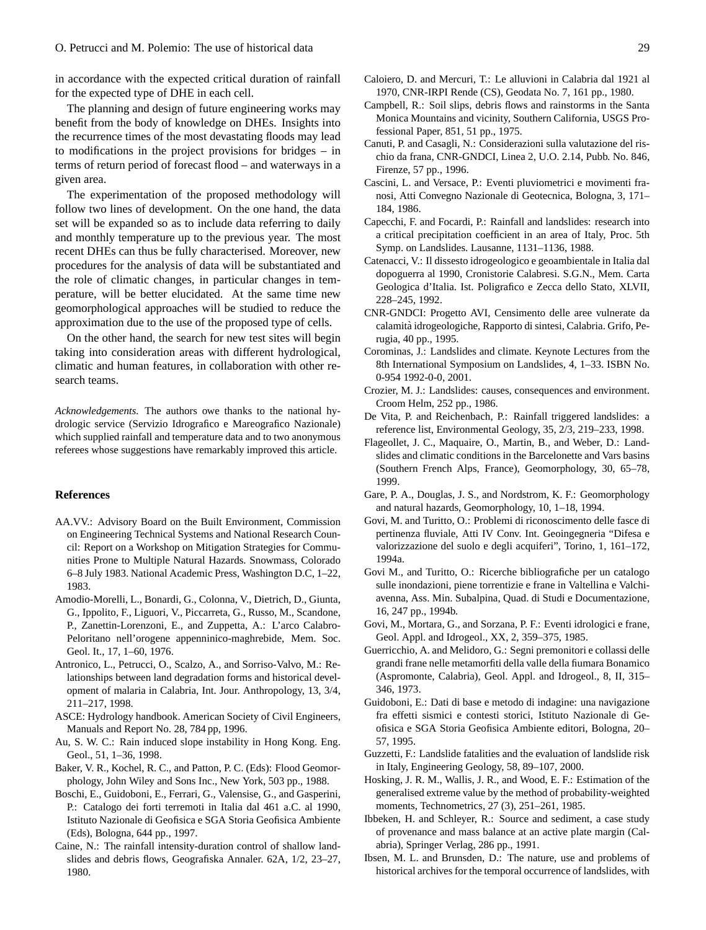in accordance with the expected critical duration of rainfall for the expected type of DHE in each cell.

The planning and design of future engineering works may benefit from the body of knowledge on DHEs. Insights into the recurrence times of the most devastating floods may lead to modifications in the project provisions for bridges – in terms of return period of forecast flood – and waterways in a given area.

The experimentation of the proposed methodology will follow two lines of development. On the one hand, the data set will be expanded so as to include data referring to daily and monthly temperature up to the previous year. The most recent DHEs can thus be fully characterised. Moreover, new procedures for the analysis of data will be substantiated and the role of climatic changes, in particular changes in temperature, will be better elucidated. At the same time new geomorphological approaches will be studied to reduce the approximation due to the use of the proposed type of cells.

On the other hand, the search for new test sites will begin taking into consideration areas with different hydrological, climatic and human features, in collaboration with other research teams.

*Acknowledgements.* The authors owe thanks to the national hydrologic service (Servizio Idrografico e Mareografico Nazionale) which supplied rainfall and temperature data and to two anonymous referees whose suggestions have remarkably improved this article.

#### **References**

- AA.VV.: Advisory Board on the Built Environment, Commission on Engineering Technical Systems and National Research Council: Report on a Workshop on Mitigation Strategies for Communities Prone to Multiple Natural Hazards. Snowmass, Colorado 6–8 July 1983. National Academic Press, Washington D.C, 1–22, 1983.
- Amodio-Morelli, L., Bonardi, G., Colonna, V., Dietrich, D., Giunta, G., Ippolito, F., Liguori, V., Piccarreta, G., Russo, M., Scandone, P., Zanettin-Lorenzoni, E., and Zuppetta, A.: L'arco Calabro-Peloritano nell'orogene appenninico-maghrebide, Mem. Soc. Geol. It., 17, 1–60, 1976.
- Antronico, L., Petrucci, O., Scalzo, A., and Sorriso-Valvo, M.: Relationships between land degradation forms and historical development of malaria in Calabria, Int. Jour. Anthropology, 13, 3/4, 211–217, 1998.
- ASCE: Hydrology handbook. American Society of Civil Engineers, Manuals and Report No. 28, 784 pp, 1996.
- Au, S. W. C.: Rain induced slope instability in Hong Kong. Eng. Geol., 51, 1–36, 1998.
- Baker, V. R., Kochel, R. C., and Patton, P. C. (Eds): Flood Geomorphology, John Wiley and Sons Inc., New York, 503 pp., 1988.
- Boschi, E., Guidoboni, E., Ferrari, G., Valensise, G., and Gasperini, P.: Catalogo dei forti terremoti in Italia dal 461 a.C. al 1990, Istituto Nazionale di Geofisica e SGA Storia Geofisica Ambiente (Eds), Bologna, 644 pp., 1997.
- Caine, N.: The rainfall intensity-duration control of shallow landslides and debris flows, Geografiska Annaler. 62A, 1/2, 23–27, 1980.
- Caloiero, D. and Mercuri, T.: Le alluvioni in Calabria dal 1921 al 1970, CNR-IRPI Rende (CS), Geodata No. 7, 161 pp., 1980.
- Campbell, R.: Soil slips, debris flows and rainstorms in the Santa Monica Mountains and vicinity, Southern California, USGS Professional Paper, 851, 51 pp., 1975.
- Canuti, P. and Casagli, N.: Considerazioni sulla valutazione del rischio da frana, CNR-GNDCI, Linea 2, U.O. 2.14, Pubb. No. 846, Firenze, 57 pp., 1996.
- Cascini, L. and Versace, P.: Eventi pluviometrici e movimenti franosi, Atti Convegno Nazionale di Geotecnica, Bologna, 3, 171– 184, 1986.
- Capecchi, F. and Focardi, P.: Rainfall and landslides: research into a critical precipitation coefficient in an area of Italy, Proc. 5th Symp. on Landslides. Lausanne, 1131–1136, 1988.
- Catenacci, V.: Il dissesto idrogeologico e geoambientale in Italia dal dopoguerra al 1990, Cronistorie Calabresi. S.G.N., Mem. Carta Geologica d'Italia. Ist. Poligrafico e Zecca dello Stato, XLVII, 228–245, 1992.
- CNR-GNDCI: Progetto AVI, Censimento delle aree vulnerate da calamita idrogeologiche, Rapporto di sintesi, Calabria. Grifo, Pe- ` rugia, 40 pp., 1995.
- Corominas, J.: Landslides and climate. Keynote Lectures from the 8th International Symposium on Landslides, 4, 1–33. ISBN No. 0-954 1992-0-0, 2001.
- Crozier, M. J.: Landslides: causes, consequences and environment. Croom Helm, 252 pp., 1986.
- De Vita, P. and Reichenbach, P.: Rainfall triggered landslides: a reference list, Environmental Geology, 35, 2/3, 219–233, 1998.
- Flageollet, J. C., Maquaire, O., Martin, B., and Weber, D.: Landslides and climatic conditions in the Barcelonette and Vars basins (Southern French Alps, France), Geomorphology, 30, 65–78, 1999.
- Gare, P. A., Douglas, J. S., and Nordstrom, K. F.: Geomorphology and natural hazards, Geomorphology, 10, 1–18, 1994.
- Govi, M. and Turitto, O.: Problemi di riconoscimento delle fasce di pertinenza fluviale, Atti IV Conv. Int. Geoingegneria "Difesa e valorizzazione del suolo e degli acquiferi", Torino, 1, 161–172, 1994a.
- Govi M., and Turitto, O.: Ricerche bibliografiche per un catalogo sulle inondazioni, piene torrentizie e frane in Valtellina e Valchiavenna, Ass. Min. Subalpina, Quad. di Studi e Documentazione, 16, 247 pp., 1994b.
- Govi, M., Mortara, G., and Sorzana, P. F.: Eventi idrologici e frane, Geol. Appl. and Idrogeol., XX, 2, 359–375, 1985.
- Guerricchio, A. and Melidoro, G.: Segni premonitori e collassi delle grandi frane nelle metamorfiti della valle della fiumara Bonamico (Aspromonte, Calabria), Geol. Appl. and Idrogeol., 8, II, 315– 346, 1973.
- Guidoboni, E.: Dati di base e metodo di indagine: una navigazione fra effetti sismici e contesti storici, Istituto Nazionale di Geofisica e SGA Storia Geofisica Ambiente editori, Bologna, 20– 57, 1995.
- Guzzetti, F.: Landslide fatalities and the evaluation of landslide risk in Italy, Engineering Geology, 58, 89–107, 2000.
- Hosking, J. R. M., Wallis, J. R., and Wood, E. F.: Estimation of the generalised extreme value by the method of probability-weighted moments, Technometrics, 27 (3), 251–261, 1985.
- Ibbeken, H. and Schleyer, R.: Source and sediment, a case study of provenance and mass balance at an active plate margin (Calabria), Springer Verlag, 286 pp., 1991.
- Ibsen, M. L. and Brunsden, D.: The nature, use and problems of historical archives for the temporal occurrence of landslides, with